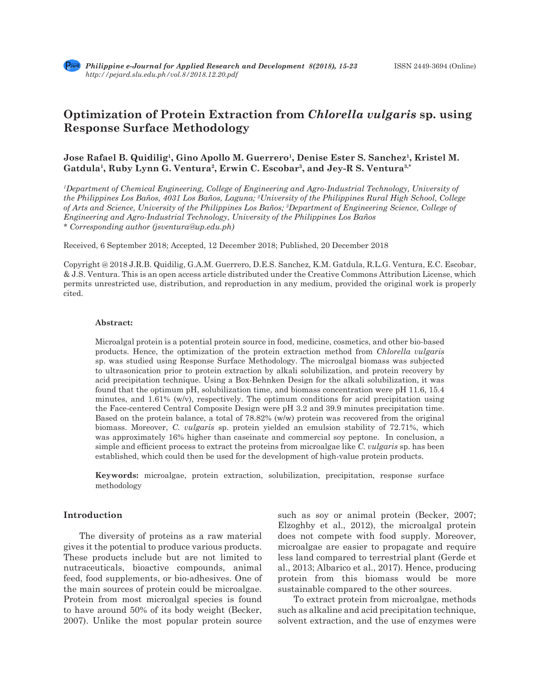# **Optimization of Protein Extraction from** *Chlorella vulgaris* **sp. using Response Surface Methodology**

# **Jose Rafael B. Quidilig<sup>1</sup>, Gino Apollo M. Guerrero<sup>1</sup>, Denise Ester S. Sanchez<sup>1</sup>, Kristel M. Gatdula1, Ruby Lynn G. Ventura2, Erwin C. Escobar3, and Jey-R S. Ventura3,\***

*1 Department of Chemical Engineering, College of Engineering and Agro-Industrial Technology, University of the Philippines Los Baños, 4031 Los Baños, Laguna; 2 University of the Philippines Rural High School, College of Arts and Science, University of the Philippines Los Baños; 3 Department of Engineering Science, College of Engineering and Agro-Industrial Technology, University of the Philippines Los Baños \* Corresponding author (jsventura@up.edu.ph)*

Received, 6 September 2018; Accepted, 12 December 2018; Published, 20 December 2018

Copyright @ 2018 J.R.B. Quidilig, G.A.M. Guerrero, D.E.S. Sanchez, K.M. Gatdula, R.L.G. Ventura, E.C. Escobar, & J.S. Ventura. This is an open access article distributed under the Creative Commons Attribution License, which permits unrestricted use, distribution, and reproduction in any medium, provided the original work is properly cited.

#### **Abstract:**

Microalgal protein is a potential protein source in food, medicine, cosmetics, and other bio-based products. Hence, the optimization of the protein extraction method from *Chlorella vulgaris*  sp. was studied using Response Surface Methodology. The microalgal biomass was subjected to ultrasonication prior to protein extraction by alkali solubilization, and protein recovery by acid precipitation technique. Using a Box-Behnken Design for the alkali solubilization, it was found that the optimum pH, solubilization time, and biomass concentration were pH 11.6, 15.4 minutes, and  $1.61\%$  (w/v), respectively. The optimum conditions for acid precipitation using the Face-centered Central Composite Design were pH 3.2 and 39.9 minutes precipitation time. Based on the protein balance, a total of 78.82% (w/w) protein was recovered from the original biomass. Moreover, *C. vulgaris* sp. protein yielded an emulsion stability of 72.71%, which was approximately 16% higher than caseinate and commercial soy peptone. In conclusion, a simple and efficient process to extract the proteins from microalgae like *C. vulgaris* sp. has been established, which could then be used for the development of high-value protein products.

**Keywords:** microalgae, protein extraction, solubilization, precipitation, response surface methodology

## **Introduction**

The diversity of proteins as a raw material gives it the potential to produce various products. These products include but are not limited to nutraceuticals, bioactive compounds, animal feed, food supplements, or bio-adhesives. One of the main sources of protein could be microalgae. Protein from most microalgal species is found to have around 50% of its body weight (Becker, 2007). Unlike the most popular protein source such as soy or animal protein (Becker, 2007; Elzoghby et al., 2012), the microalgal protein does not compete with food supply. Moreover, microalgae are easier to propagate and require less land compared to terrestrial plant (Gerde et al., 2013; Albarico et al., 2017). Hence, producing protein from this biomass would be more sustainable compared to the other sources.

To extract protein from microalgae, methods such as alkaline and acid precipitation technique, solvent extraction, and the use of enzymes were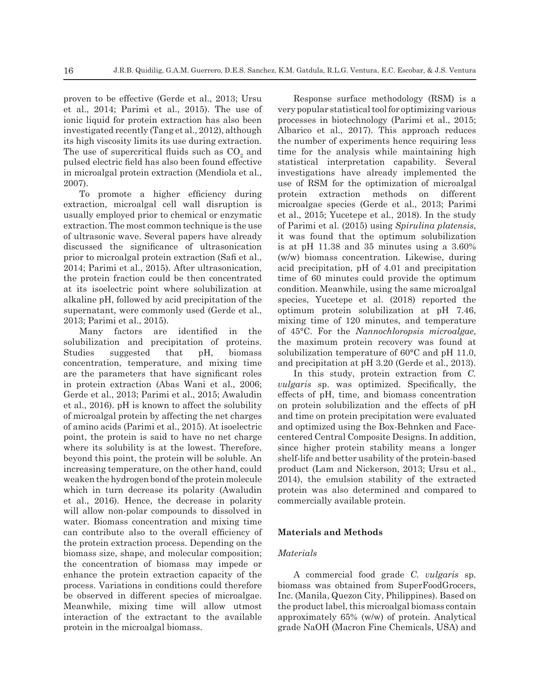proven to be effective (Gerde et al., 2013; Ursu et al., 2014; Parimi et al., 2015). The use of ionic liquid for protein extraction has also been investigated recently (Tang et al., 2012), although its high viscosity limits its use during extraction. The use of supercritical fluids such as  $\mathrm{CO}_2$  and pulsed electric field has also been found effective in microalgal protein extraction (Mendiola et al., 2007).

To promote a higher efficiency during extraction, microalgal cell wall disruption is usually employed prior to chemical or enzymatic extraction. The most common technique is the use of ultrasonic wave. Several papers have already discussed the significance of ultrasonication prior to microalgal protein extraction (Safi et al., 2014; Parimi et al., 2015). After ultrasonication, the protein fraction could be then concentrated at its isoelectric point where solubilization at alkaline pH, followed by acid precipitation of the supernatant, were commonly used (Gerde et al., 2013; Parimi et al., 2015).

Many factors are identified in the solubilization and precipitation of proteins. Studies suggested that pH, biomass concentration, temperature, and mixing time are the parameters that have significant roles in protein extraction (Abas Wani et al., 2006; Gerde et al., 2013; Parimi et al., 2015; Awaludin et al., 2016). pH is known to affect the solubility of microalgal protein by affecting the net charges of amino acids (Parimi et al., 2015). At isoelectric point, the protein is said to have no net charge where its solubility is at the lowest. Therefore, beyond this point, the protein will be soluble. An increasing temperature, on the other hand, could weaken the hydrogen bond of the protein molecule which in turn decrease its polarity (Awaludin et al., 2016). Hence, the decrease in polarity will allow non-polar compounds to dissolved in water. Biomass concentration and mixing time can contribute also to the overall efficiency of the protein extraction process. Depending on the biomass size, shape, and molecular composition; the concentration of biomass may impede or enhance the protein extraction capacity of the process. Variations in conditions could therefore be observed in different species of microalgae. Meanwhile, mixing time will allow utmost interaction of the extractant to the available protein in the microalgal biomass.

Response surface methodology (RSM) is a very popular statistical tool for optimizing various processes in biotechnology (Parimi et al., 2015; Albarico et al., 2017). This approach reduces the number of experiments hence requiring less time for the analysis while maintaining high statistical interpretation capability. Several investigations have already implemented the use of RSM for the optimization of microalgal protein extraction methods on different microalgae species (Gerde et al., 2013; Parimi et al., 2015; Yucetepe et al., 2018). In the study of Parimi et al. (2015) using *Spirulina platensis*, it was found that the optimum solubilization is at pH 11.38 and 35 minutes using a 3.60% (w/w) biomass concentration. Likewise, during acid precipitation, pH of 4.01 and precipitation time of 60 minutes could provide the optimum condition. Meanwhile, using the same microalgal species, Yucetepe et al. (2018) reported the optimum protein solubilization at pH 7.46, mixing time of 120 minutes, and temperature of 45°C. For the *Nannochloropsis microalgae*, the maximum protein recovery was found at solubilization temperature of 60°C and pH 11.0, and precipitation at pH 3.20 (Gerde et al., 2013).

In this study, protein extraction from *C. vulgaris* sp. was optimized. Specifically, the effects of pH, time, and biomass concentration on protein solubilization and the effects of pH and time on protein precipitation were evaluated and optimized using the Box-Behnken and Facecentered Central Composite Designs. In addition, since higher protein stability means a longer shelf-life and better usability of the protein-based product (Lam and Nickerson, 2013; Ursu et al., 2014), the emulsion stability of the extracted protein was also determined and compared to commercially available protein.

## **Materials and Methods**

#### *Materials*

A commercial food grade *C. vulgaris* sp. biomass was obtained from SuperFoodGrocers, Inc. (Manila, Quezon City, Philippines). Based on the product label, this microalgal biomass contain approximately 65% (w/w) of protein. Analytical grade NaOH (Macron Fine Chemicals, USA) and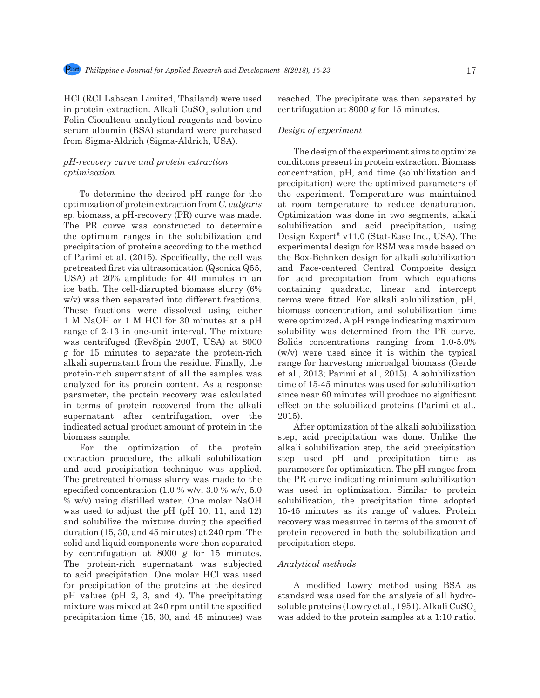HCl (RCI Labscan Limited, Thailand) were used in protein extraction. Alkali $\mathrm{CuSO}_4$  solution and Folin-Ciocalteau analytical reagents and bovine serum albumin (BSA) standard were purchased from Sigma-Aldrich (Sigma-Aldrich, USA).

## *pH-recovery curve and protein extraction optimization*

To determine the desired pH range for the optimization of protein extraction from *C. vulgaris*  sp. biomass, a pH-recovery (PR) curve was made. The PR curve was constructed to determine the optimum ranges in the solubilization and precipitation of proteins according to the method of Parimi et al. (2015). Specifically, the cell was pretreated first via ultrasonication (Qsonica Q55, USA) at 20% amplitude for 40 minutes in an ice bath. The cell-disrupted biomass slurry (6% w/v) was then separated into different fractions. These fractions were dissolved using either 1 M NaOH or 1 M HCl for 30 minutes at a pH range of 2-13 in one-unit interval. The mixture was centrifuged (RevSpin 200T, USA) at 8000 g for 15 minutes to separate the protein-rich alkali supernatant from the residue. Finally, the protein-rich supernatant of all the samples was analyzed for its protein content. As a response parameter, the protein recovery was calculated in terms of protein recovered from the alkali supernatant after centrifugation, over the indicated actual product amount of protein in the biomass sample.

For the optimization of the protein extraction procedure, the alkali solubilization and acid precipitation technique was applied. The pretreated biomass slurry was made to the specified concentration (1.0 % w/v, 3.0 % w/v, 5.0 % w/v) using distilled water. One molar NaOH was used to adjust the pH (pH 10, 11, and 12) and solubilize the mixture during the specified duration (15, 30, and 45 minutes) at 240 rpm. The solid and liquid components were then separated by centrifugation at 8000 *g* for 15 minutes. The protein-rich supernatant was subjected to acid precipitation. One molar HCl was used for precipitation of the proteins at the desired pH values (pH 2, 3, and 4). The precipitating mixture was mixed at 240 rpm until the specified precipitation time (15, 30, and 45 minutes) was reached. The precipitate was then separated by centrifugation at 8000 *g* for 15 minutes.

## *Design of experiment*

The design of the experiment aims to optimize conditions present in protein extraction. Biomass concentration, pH, and time (solubilization and precipitation) were the optimized parameters of the experiment. Temperature was maintained at room temperature to reduce denaturation. Optimization was done in two segments, alkali solubilization and acid precipitation, using Design Expert® v11.0 (Stat-Ease Inc., USA). The experimental design for RSM was made based on the Box-Behnken design for alkali solubilization and Face-centered Central Composite design for acid precipitation from which equations containing quadratic, linear and intercept terms were fitted. For alkali solubilization, pH, biomass concentration, and solubilization time were optimized. A pH range indicating maximum solubility was determined from the PR curve. Solids concentrations ranging from 1.0-5.0% (w/v) were used since it is within the typical range for harvesting microalgal biomass (Gerde et al., 2013; Parimi et al., 2015). A solubilization time of 15-45 minutes was used for solubilization since near 60 minutes will produce no significant effect on the solubilized proteins (Parimi et al., 2015).

After optimization of the alkali solubilization step, acid precipitation was done. Unlike the alkali solubilization step, the acid precipitation step used pH and precipitation time as parameters for optimization. The pH ranges from the PR curve indicating minimum solubilization was used in optimization. Similar to protein solubilization, the precipitation time adopted 15-45 minutes as its range of values. Protein recovery was measured in terms of the amount of protein recovered in both the solubilization and precipitation steps.

#### *Analytical methods*

A modified Lowry method using BSA as standard was used for the analysis of all hydrosoluble proteins (Lowry et al., 1951). Alkali  $CuSO<sub>4</sub>$ was added to the protein samples at a 1:10 ratio.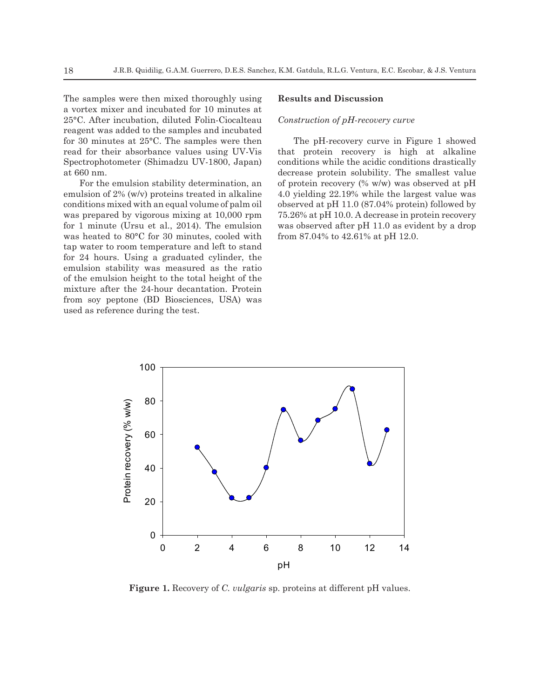The samples were then mixed thoroughly using a vortex mixer and incubated for 10 minutes at 25°C. After incubation, diluted Folin-Ciocalteau reagent was added to the samples and incubated for 30 minutes at 25°C. The samples were then read for their absorbance values using UV-Vis Spectrophotometer (Shimadzu UV-1800, Japan) at 660 nm.

For the emulsion stability determination, an emulsion of 2% (w/v) proteins treated in alkaline conditions mixed with an equal volume of palm oil was prepared by vigorous mixing at 10,000 rpm for 1 minute (Ursu et al., 2014). The emulsion was heated to 80°C for 30 minutes, cooled with tap water to room temperature and left to stand for 24 hours. Using a graduated cylinder, the emulsion stability was measured as the ratio of the emulsion height to the total height of the mixture after the 24-hour decantation. Protein from soy peptone (BD Biosciences, USA) was used as reference during the test.

#### **Results and Discussion**

#### *Construction of pH-recovery curve*

The pH-recovery curve in Figure 1 showed that protein recovery is high at alkaline conditions while the acidic conditions drastically decrease protein solubility. The smallest value of protein recovery (% w/w) was observed at pH 4.0 yielding 22.19% while the largest value was observed at pH 11.0 (87.04% protein) followed by 75.26% at pH 10.0. A decrease in protein recovery was observed after pH 11.0 as evident by a drop from 87.04% to 42.61% at pH 12.0.



**Figure 1.** Recovery of *C. vulgaris* sp. proteins at different pH values.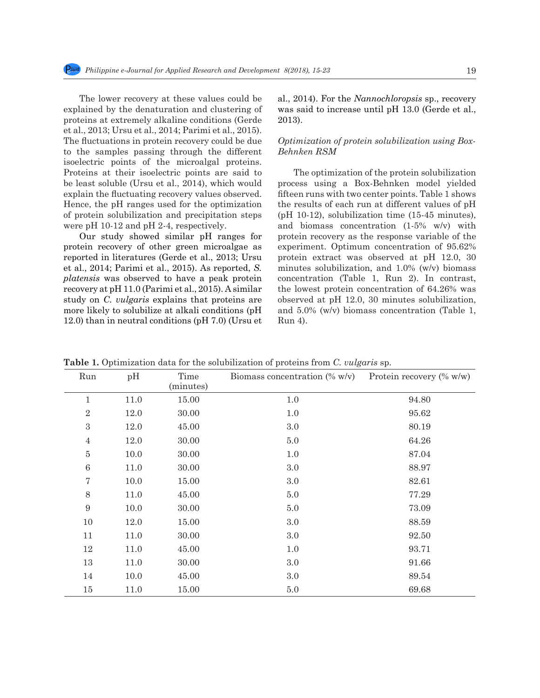The lower recovery at these values could be explained by the denaturation and clustering of proteins at extremely alkaline conditions (Gerde et al., 2013; Ursu et al., 2014; Parimi et al., 2015). The fluctuations in protein recovery could be due to the samples passing through the different isoelectric points of the microalgal proteins. Proteins at their isoelectric points are said to be least soluble (Ursu et al., 2014), which would explain the fluctuating recovery values observed. Hence, the pH ranges used for the optimization of protein solubilization and precipitation steps were pH 10-12 and pH 2-4, respectively.

Our study showed similar pH ranges for protein recovery of other green microalgae as reported in literatures (Gerde et al., 2013; Ursu et al., 2014; Parimi et al., 2015). As reported, *S. platensis* was observed to have a peak protein recovery at pH 11.0 (Parimi et al., 2015). A similar study on *C. vulgaris* explains that proteins are more likely to solubilize at alkali conditions (pH 12.0) than in neutral conditions (pH 7.0) (Ursu et al., 2014). For the *Nannochloropsis* sp., recovery was said to increase until pH 13.0 (Gerde et al., 2013).

## *Optimization of protein solubilization using Box-Behnken RSM*

The optimization of the protein solubilization process using a Box-Behnken model yielded fifteen runs with two center points. Table 1 shows the results of each run at different values of pH (pH 10-12), solubilization time (15-45 minutes), and biomass concentration (1-5% w/v) with protein recovery as the response variable of the experiment. Optimum concentration of 95.62% protein extract was observed at pH 12.0, 30 minutes solubilization, and 1.0% (w/v) biomass concentration (Table 1, Run 2). In contrast, the lowest protein concentration of 64.26% was observed at pH 12.0, 30 minutes solubilization, and 5.0% (w/v) biomass concentration (Table 1, Run 4).

| Run              | pH   | Time<br>(minutes) | Biomass concentration (% w/v) | Protein recovery $(\% w/w)$ |
|------------------|------|-------------------|-------------------------------|-----------------------------|
| $\mathbf 1$      | 11.0 | 15.00             | $1.0\,$                       | 94.80                       |
| $\sqrt{2}$       | 12.0 | 30.00             | 1.0                           | 95.62                       |
| $\,3$            | 12.0 | 45.00             | 3.0                           | 80.19                       |
| $\overline{4}$   | 12.0 | 30.00             | 5.0                           | 64.26                       |
| $\bf 5$          | 10.0 | 30.00             | 1.0                           | 87.04                       |
| $6\phantom{.}6$  | 11.0 | 30.00             | 3.0                           | 88.97                       |
| $\sqrt{ }$       | 10.0 | 15.00             | 3.0                           | 82.61                       |
| 8                | 11.0 | 45.00             | 5.0                           | 77.29                       |
| $\boldsymbol{9}$ | 10.0 | 30.00             | 5.0                           | 73.09                       |
| $10\,$           | 12.0 | 15.00             | 3.0                           | 88.59                       |
| 11               | 11.0 | 30.00             | $3.0\,$                       | 92.50                       |
| 12               | 11.0 | 45.00             | 1.0                           | 93.71                       |
| 13               | 11.0 | 30.00             | 3.0                           | 91.66                       |
| 14               | 10.0 | 45.00             | 3.0                           | 89.54                       |
| $15\,$           | 11.0 | 15.00             | $5.0\,$                       | 69.68                       |

**Table 1.** Optimization data for the solubilization of proteins from *C. vulgaris* sp.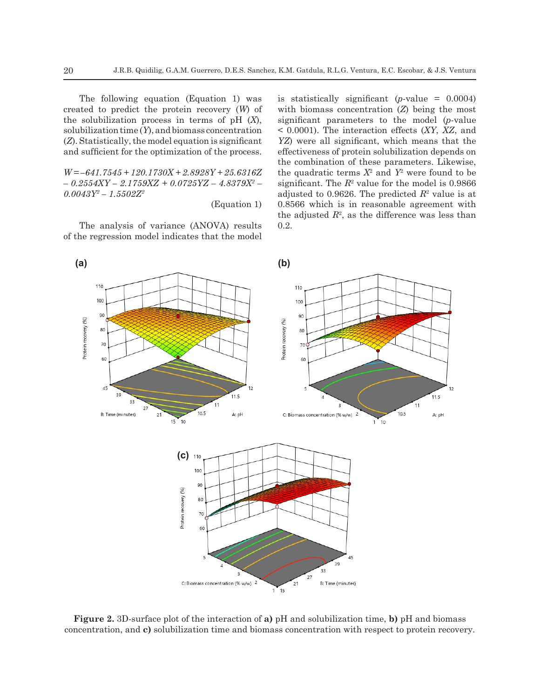The following equation (Equation 1) was created to predict the protein recovery (*W*) of the solubilization process in terms of pH (*X*), solubilization time (*Y*), and biomass concentration (*Z*). Statistically, the model equation is significant and sufficient for the optimization of the process.

*W = –641.7545 + 120.1730X + 2.8928Y + 25.6316Z – 0.2554XY – 2.1759XZ + 0.0725YZ – 4.8379X2 –*   $0.0043Y^2$  –  $1.5502Z^2$ 

(Equation 1)

The analysis of variance (ANOVA) results of the regression model indicates that the model is statistically significant  $(p$ -value =  $0.0004$ ) with biomass concentration (*Z*) being the most significant parameters to the model (*p*-value < 0.0001). The interaction effects (*XY*, *XZ*, and *YZ*) were all significant, which means that the effectiveness of protein solubilization depends on the combination of these parameters. Likewise, the quadratic terms  $X^2$  and  $Y^2$  were found to be significant. The  $R^2$  value for the model is  $0.9866$ adjusted to  $0.9626$ . The predicted  $R^2$  value is at 0.8566 which is in reasonable agreement with the adjusted  $R^2$ , as the difference was less than 0.2.



**Figure 2.** 3D-surface plot of the interaction of **a)** pH and solubilization time, **b)** pH and biomass concentration, and **c)** solubilization time and biomass concentration with respect to protein recovery.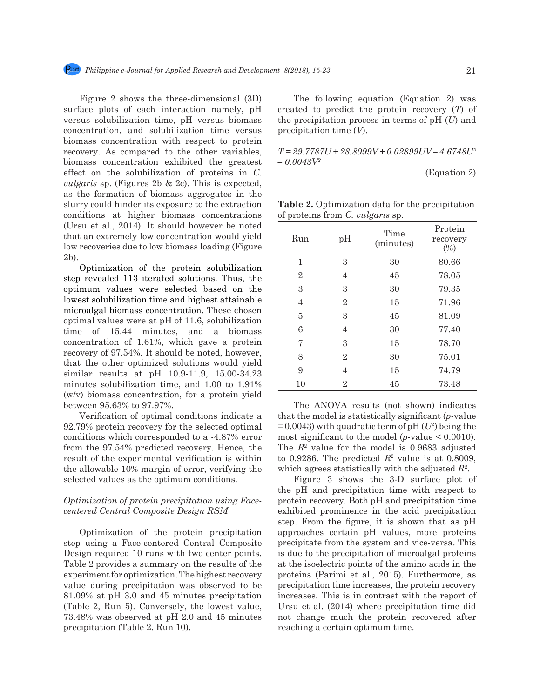Figure 2 shows the three-dimensional (3D) surface plots of each interaction namely, pH versus solubilization time, pH versus biomass concentration, and solubilization time versus biomass concentration with respect to protein recovery. As compared to the other variables, biomass concentration exhibited the greatest effect on the solubilization of proteins in *C. vulgaris* sp. (Figures 2b & 2c). This is expected, as the formation of biomass aggregates in the slurry could hinder its exposure to the extraction conditions at higher biomass concentrations (Ursu et al., 2014). It should however be noted that an extremely low concentration would yield low recoveries due to low biomass loading (Figure 2b).

Optimization of the protein solubilization step revealed 113 iterated solutions. Thus, the optimum values were selected based on the lowest solubilization time and highest attainable microalgal biomass concentration. These chosen optimal values were at pH of 11.6, solubilization time of 15.44 minutes, and a biomass concentration of 1.61%, which gave a protein recovery of 97.54%. It should be noted, however, that the other optimized solutions would yield similar results at pH 10.9-11.9, 15.00-34.23 minutes solubilization time, and 1.00 to 1.91% (w/v) biomass concentration, for a protein yield between 95.63% to 97.97%.

Verification of optimal conditions indicate a 92.79% protein recovery for the selected optimal conditions which corresponded to a -4.87% error from the 97.54% predicted recovery. Hence, the result of the experimental verification is within the allowable 10% margin of error, verifying the selected values as the optimum conditions.

## *Optimization of protein precipitation using Facecentered Central Composite Design RSM*

Optimization of the protein precipitation step using a Face-centered Central Composite Design required 10 runs with two center points. Table 2 provides a summary on the results of the experiment for optimization. The highest recovery value during precipitation was observed to be 81.09% at pH 3.0 and 45 minutes precipitation (Table 2, Run 5). Conversely, the lowest value, 73.48% was observed at pH 2.0 and 45 minutes precipitation (Table 2, Run 10).

The following equation (Equation 2) was created to predict the protein recovery (*T*) of the precipitation process in terms of pH (*U*) and precipitation time (*V*).

*T = 29.7787U + 28.8099V + 0.02899UV – 4.6748U2 – 0.0043V2*

(Equation 2)

**Table 2.** Optimization data for the precipitation of proteins from *C. vulgaris* sp.

| Run            | pH             | Time<br>(minutes) | Protein<br>recovery<br>(%) |
|----------------|----------------|-------------------|----------------------------|
| 1              | 3              | 30                | 80.66                      |
| $\overline{2}$ | 4              | 45                | 78.05                      |
| 3              | 3              | 30                | 79.35                      |
| $\overline{4}$ | $\overline{2}$ | 15                | 71.96                      |
| 5              | 3              | 45                | 81.09                      |
| 6              | 4              | 30                | 77.40                      |
| 7              | 3              | 15                | 78.70                      |
| 8              | $\overline{2}$ | 30                | 75.01                      |
| 9              | 4              | 15                | 74.79                      |
| 10             | $\overline{2}$ | 45                | 73.48                      |

The ANOVA results (not shown) indicates that the model is statistically significant (*p*-value  $= 0.0043$ ) with quadratic term of pH  $(U^2)$  being the most significant to the model (*p*-value < 0.0010). The  $R<sup>2</sup>$  value for the model is 0.9683 adjusted to 0.9286. The predicted  $R^2$  value is at 0.8009, which agrees statistically with the adjusted *R*<sup>2</sup> .

Figure 3 shows the 3-D surface plot of the pH and precipitation time with respect to protein recovery. Both pH and precipitation time exhibited prominence in the acid precipitation step. From the figure, it is shown that as pH approaches certain pH values, more proteins precipitate from the system and vice-versa. This is due to the precipitation of microalgal proteins at the isoelectric points of the amino acids in the proteins (Parimi et al., 2015). Furthermore, as precipitation time increases, the protein recovery increases. This is in contrast with the report of Ursu et al. (2014) where precipitation time did not change much the protein recovered after reaching a certain optimum time.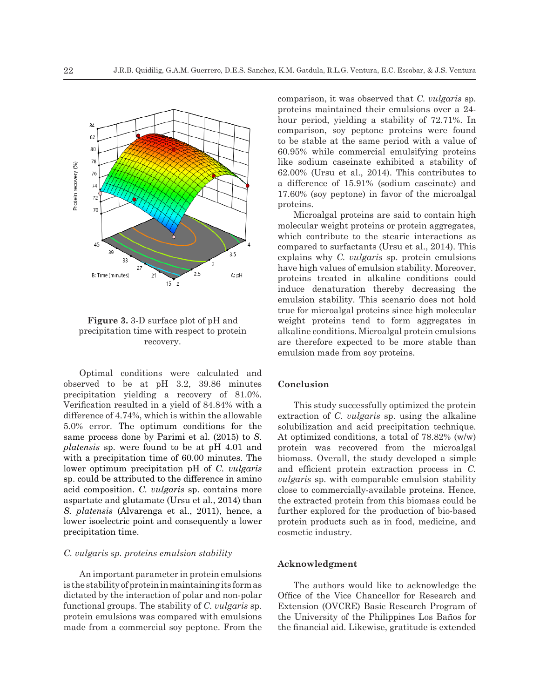

**Figure 3.** 3-D surface plot of pH and precipitation time with respect to protein recovery.

Optimal conditions were calculated and observed to be at pH 3.2, 39.86 minutes precipitation yielding a recovery of 81.0%. Verification resulted in a yield of 84.84% with a difference of 4.74%, which is within the allowable 5.0% error. The optimum conditions for the same process done by Parimi et al. (2015) to *S. platensis* sp. were found to be at pH 4.01 and with a precipitation time of 60.00 minutes. The lower optimum precipitation pH of *C. vulgaris*  sp. could be attributed to the difference in amino acid composition. *C. vulgaris* sp. contains more aspartate and glutamate (Ursu et al., 2014) than *S. platensis* (Alvarenga et al., 2011), hence, a lower isoelectric point and consequently a lower precipitation time.

## *C. vulgaris sp. proteins emulsion stability*

An important parameter in protein emulsions is the stability of protein in maintaining its form as dictated by the interaction of polar and non-polar functional groups. The stability of *C. vulgaris* sp. protein emulsions was compared with emulsions made from a commercial soy peptone. From the comparison, it was observed that *C. vulgaris* sp. proteins maintained their emulsions over a 24 hour period, yielding a stability of 72.71%. In comparison, soy peptone proteins were found to be stable at the same period with a value of 60.95% while commercial emulsifying proteins like sodium caseinate exhibited a stability of 62.00% (Ursu et al., 2014). This contributes to a difference of 15.91% (sodium caseinate) and 17.60% (soy peptone) in favor of the microalgal proteins.

Microalgal proteins are said to contain high molecular weight proteins or protein aggregates, which contribute to the stearic interactions as compared to surfactants (Ursu et al., 2014). This explains why *C. vulgaris* sp. protein emulsions have high values of emulsion stability. Moreover, proteins treated in alkaline conditions could induce denaturation thereby decreasing the emulsion stability. This scenario does not hold true for microalgal proteins since high molecular weight proteins tend to form aggregates in alkaline conditions. Microalgal protein emulsions are therefore expected to be more stable than emulsion made from soy proteins.

#### **Conclusion**

This study successfully optimized the protein extraction of *C. vulgaris* sp. using the alkaline solubilization and acid precipitation technique. At optimized conditions, a total of 78.82% (w/w) protein was recovered from the microalgal biomass. Overall, the study developed a simple and efficient protein extraction process in *C. vulgaris* sp. with comparable emulsion stability close to commercially-available proteins. Hence, the extracted protein from this biomass could be further explored for the production of bio-based protein products such as in food, medicine, and cosmetic industry.

#### **Acknowledgment**

The authors would like to acknowledge the Office of the Vice Chancellor for Research and Extension (OVCRE) Basic Research Program of the University of the Philippines Los Baños for the financial aid. Likewise, gratitude is extended